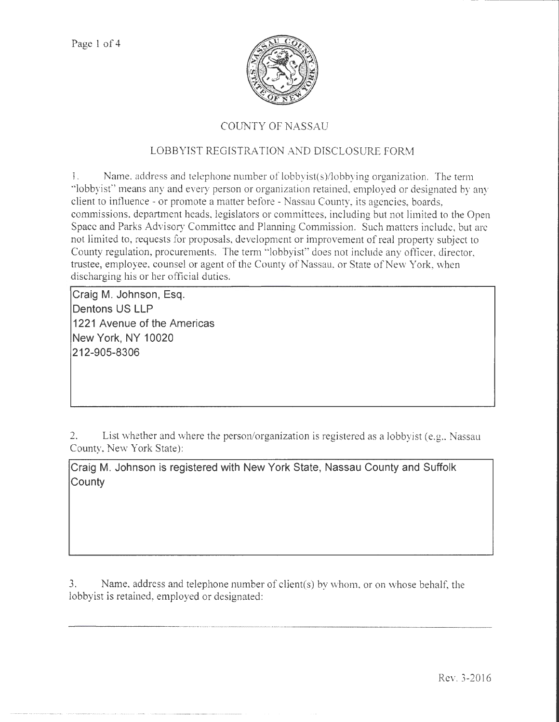

## COUNTY OF NASSAU

## LOBBYIST REGISTRATION AND DISCLOSURE FORM

1. Name. address and telephone number of lobbyist(s)/lobbying organization. The term "lobbyist" means any and every person or organization retained, employed or designated by any client to influence - or promote a matter before - Nassau County, its agencies, boards, commissions, department heads, legislators or committees, including but not limited to the Open Space and Parks Advisory Committee and Planning Commission. Such matters include, but arc not limited to, requests for proposals, development or improvement of real property subject to County regulation, procurements. The term "lobbyist" does not include any officer, director, trustee, employee, counsel or agent of the County of Nassau, or State of New York, when discharging his or her official duties.

**Craig M. Johnson, Esq. Dentons US LLP 1221 Avenue of the Americas New York, NY 10020 212-905-8306** 

2. List whether and where the person/organization is registered as a lobbyist (e.g., Nassau County, New York State):

**Craig M. Johnson is registered with New York State, Nassau County and Suffolk County** 

3. Name, address and telephone number of client(s) by whom, or on whose behalf, the lobbyist is retained, employed or designated: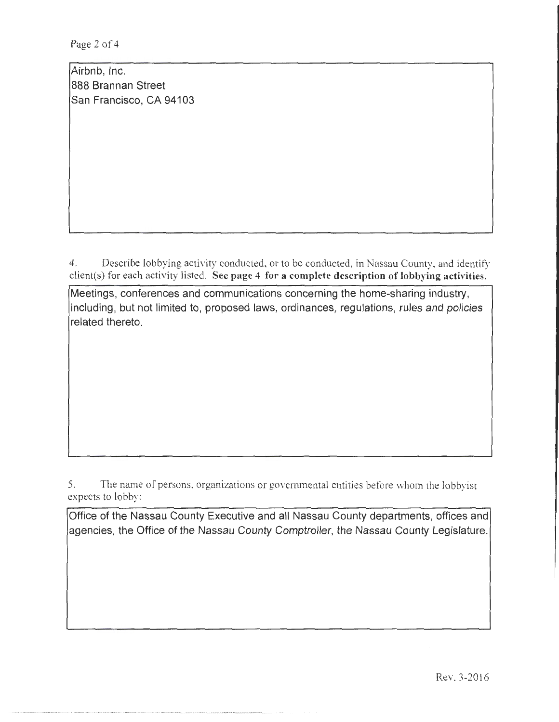Page 2 of 4

Airbnb, Inc. 888 Brannan Street San Francisco, CA 94103

4. Describe lobbying activity conducted. or to be conducted, in Nassau County, and identify client(s) for each activity listed. See page 4 for a complete description of lobbying activities.

Meetings, conferences and communications concerning the home-sharing industry, including, but not limited to, proposed laws, ordinances, regulations, rules and policies related thereto.

5. The name of persons, organizations or governmental entities before whom the lobbyist expects to lobby:

Office of the Nassau County Executive and all Nassau County departments, offices and agencies, the Office of the Nassau County Comptroller, the Nassau County Legislature.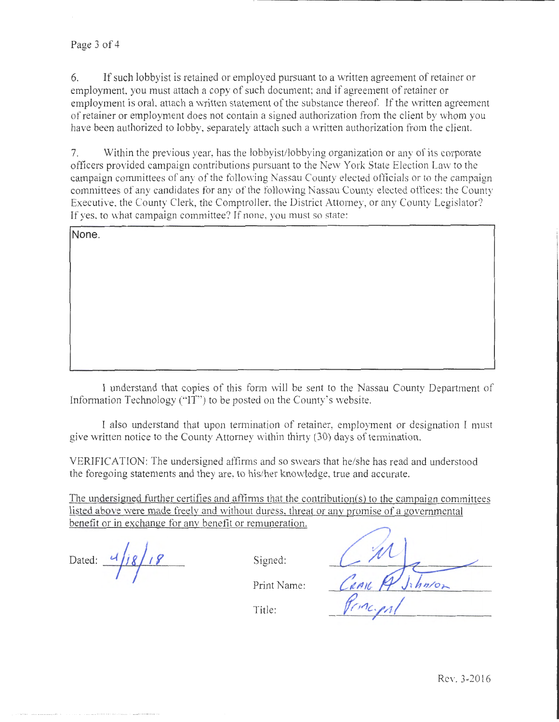6. If such lobby ist is retained or employed pursuant to a written agreement of retainer or employment, you must attach a copy of such document; and if agreement of retainer or employment is oral, attach a written statement of the substance thereof. If the written agreement of retainer or employment does not contain a signed authorization from the client by whom you have been authorized to lobby, separately attach such a written authorization from the client.

7. Within the previous year, has the lobbyist/lobbying organization or any of its corporate officers provided campaign contributions pursuant to the New York State Election Law to the campaign committees of any of the following Nassau County elected officials or to the campaign committees of any candidates for any of the following Nassau County elected offices: the County Executive, the County Clerk, the Comptroller, the District Attorney, or any County Legislator? If yes. to what campaign committee? If none, you must so state:

**None.** 

I understand that copies of this form will be sent to the Nassau County Department of Information Technology ("IT") to be posted on the County's website.

I also understand that upon termination of retainer, employment or designation I must give written notice to the County Attorney within thirty (30) days of termination.

VERIFICATION: The undersigned affirms and so swears that he/she has read and understood the foregoing statements and they are, to his/her knowledge, true and accurate.

The undersigned further certifies and affirms that the contribution(s) to the campaign committees listed above were made freely and without duress. threat or any promise of a governmental benefit or in exchange for anv benefit or remuneration.

Dated:  $\frac{d}{j8}$   $\frac{g}{s}$  Signed:

Print Name:

Title: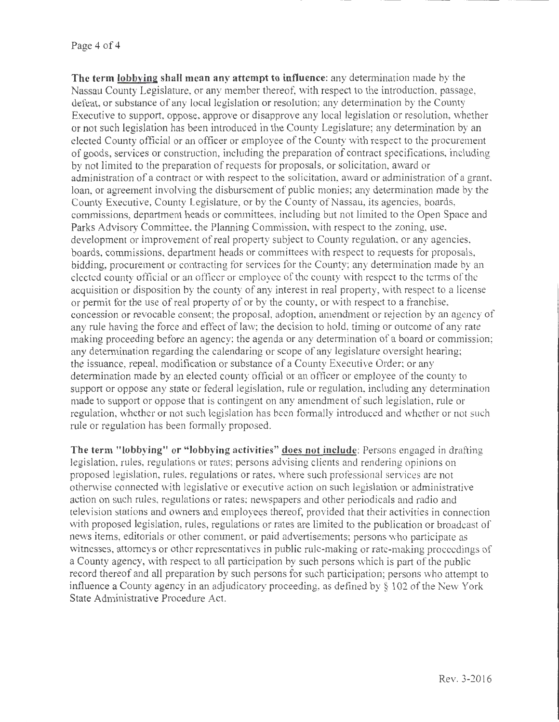**The term Jobbving shall mean any attempt to influence:** any determination made by the Nassau County Legislature, or any member thereof, with respect to the introduction, passage, defeat, or substance of any local legislation or resolution; any determination by the County Executive to support, oppose, approve or disapprove any local legislation or resolution, whether or not such legislation has been introduced in the County Legislature; any determination by an elected County official or an officer or employee of the County with respect to the procurement of goods, services or construction, including the preparation of contract specifications, including by not limited to the preparation of requests for proposals, or solicitation, award or administration of a contract or with respect to the solicitation, award or administration of a grant, loan, or agreement involving the disbursement of public monies; any determination made by the County Executive, County Legislature, or by the County of Nassau, its agencies, boards, commissions, department heads or committees, including but not limited to the Open Space and Parks Advisory Committee. the Planning Commission, with respect to the zoning, use. development or improvement of real property subject to County regulation, or any agencies, boards, commissions, department heads or committees with respect to requests for proposals, bidding, procurement or contracting for services for the County; any determination made by an elected county official or an officer or employee of the county with respect to the terms of the acqujsition or disposition by the county of any interest in real property, with respect to a license or permit for the use of real property of or by the county, or with respect to a franchise, concession or revocable consent; the proposal, adoption, amendment or rejection by an agency of any rule having the force and effect of law; the decision to hold, timing or outcome of any rate making proceeding before an agency; the agenda or any determination of a board or commission; any determination regarding the calendaring or scope of any legislature oversight hearing; the issuance, repeal, modification or substance of a County Executive Order; or any determination made by an elected county official or an officer or employee of the county to support or oppose any state or federal legislation, rule or regulation, including any determination made to support or oppose that is contingent on any amendment of such legislation, rule or regulation, whether or not such legislation has been formally introduced and whether or not such rule or regulation has been formally proposed.

**The term "lobbying" or "lobbying activities" does not include:** Persons engaged in drafting legislation, rules, regulations or rates; persons advising clients and rendering opinions on proposed legislation, rules, regulations or rates, where such professional services are not otherwise connected with legislative or executive action on such legislation or administrative action on such rules, regulations or rates; newspapers and other periodicals and radio and television stations and owners and employees thereof, provided that their activities in connection with proposed legislation, rules, regulations or rates are limited to the publication or broadcast of news items, editorials or other comment, or paid advertisements; persons who participate as witnesses, attomcys or other representatives in public rule-making or rate-making proceedings of a County agency, with respect to all participation by such persons which is part of the public record thereof and all preparation by such persons for such participation; persons who attempt to influence a County agency in an adjudicatory proceeding, as defined by  $\S$  102 of the New York State Administrative Procedure Act.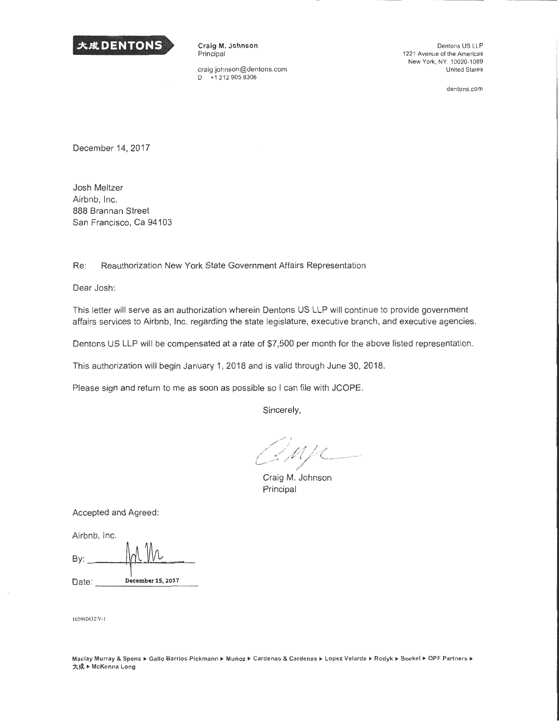

Craig M. Johnson Principal

craig.johnson@dentons.com<br>D +1 212 905 8306 D +1 212 905 8306

Dentons US LLP 1221 Avenue of the Americas New York, NY 10020-1089 United States

dentons.com

December 14, 2017

Josh Meltzer Airbnb, Inc. 888 Brannan Street San Francisco, Ca 94103

Re: Reauthorization New York State Government Affairs Representation

Dear Josh:

This letter will serve as an authorization wherein Dentons US LLP will continue to provide government affairs services to Airbnb, Inc. regarding the state legislature, executive branch, and executive agencies.

Dentons US LLP will be compensated at a rate of \$7,500 per month for the above listed representation.

This authorization will begin January 1, 2018 and is valid through June 30, 2018.

Please sign and return to me as soon as possible so I can file with JCOPE.

Sincerely,

Impe

Craig M. Johnson Principal

Accepted and Agreed:

Airbnb, Inc.

| By:   |                   |
|-------|-------------------|
| Date: | December 15, 2017 |

I 05992632\V -I